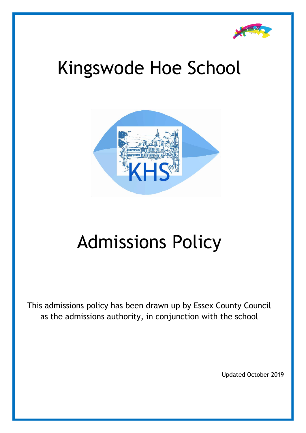

# Kingswode Hoe School



# Admissions Policy

This admissions policy has been drawn up by Essex County Council as the admissions authority, in conjunction with the school

Updated October 2019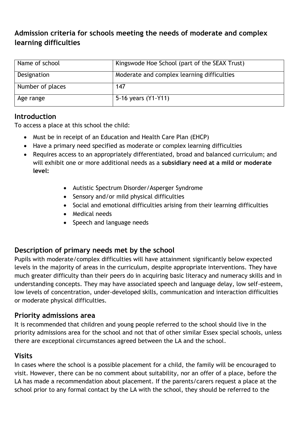## **Admission criteria for schools meeting the needs of moderate and complex learning difficulties**

| Name of school   | Kingswode Hoe School (part of the SEAX Trust) |
|------------------|-----------------------------------------------|
| Designation      | Moderate and complex learning difficulties    |
| Number of places | 147                                           |
| Age range        | 5-16 years (Y1-Y11)                           |

#### **Introduction**

To access a place at this school the child:

- Must be in receipt of an Education and Health Care Plan (EHCP)
- Have a primary need specified as moderate or complex learning difficulties
- Requires access to an appropriately differentiated, broad and balanced curriculum; and will exhibit one or more additional needs as a **subsidiary need at a mild or moderate level:**
	- Autistic Spectrum Disorder/Asperger Syndrome
	- Sensory and/or mild physical difficulties
	- Social and emotional difficulties arising from their learning difficulties
	- Medical needs
	- Speech and language needs

## **Description of primary needs met by the school**

Pupils with moderate/complex difficulties will have attainment significantly below expected levels in the majority of areas in the curriculum, despite appropriate interventions. They have much greater difficulty than their peers do in acquiring basic literacy and numeracy skills and in understanding concepts. They may have associated speech and language delay, low self-esteem, low levels of concentration, under-developed skills, communication and interaction difficulties or moderate physical difficulties.

#### **Priority admissions area**

It is recommended that children and young people referred to the school should live in the priority admissions area for the school and not that of other similar Essex special schools, unless there are exceptional circumstances agreed between the LA and the school.

#### **Visits**

In cases where the school is a possible placement for a child, the family will be encouraged to visit. However, there can be no comment about suitability, nor an offer of a place, before the LA has made a recommendation about placement. If the parents/carers request a place at the school prior to any formal contact by the LA with the school, they should be referred to the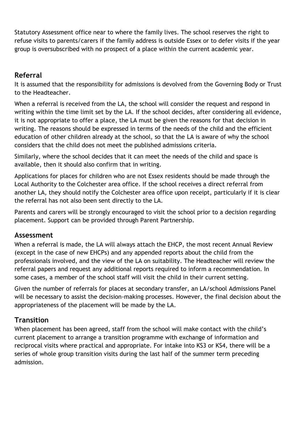Statutory Assessment office near to where the family lives. The school reserves the right to refuse visits to parents/carers if the family address is outside Essex or to defer visits if the year group is oversubscribed with no prospect of a place within the current academic year.

### **Referral**

It is assumed that the responsibility for admissions is devolved from the Governing Body or Trust to the Headteacher.

When a referral is received from the LA, the school will consider the request and respond in writing within the time limit set by the LA. If the school decides, after considering all evidence, it is not appropriate to offer a place, the LA must be given the reasons for that decision in writing. The reasons should be expressed in terms of the needs of the child and the efficient education of other children already at the school, so that the LA is aware of why the school considers that the child does not meet the published admissions criteria.

Similarly, where the school decides that it can meet the needs of the child and space is available, then it should also confirm that in writing.

Applications for places for children who are not Essex residents should be made through the Local Authority to the Colchester area office. If the school receives a direct referral from another LA, they should notify the Colchester area office upon receipt, particularly if it is clear the referral has not also been sent directly to the LA.

Parents and carers will be strongly encouraged to visit the school prior to a decision regarding placement. Support can be provided through Parent Partnership.

#### **Assessment**

When a referral is made, the LA will always attach the EHCP, the most recent Annual Review (except in the case of new EHCPs) and any appended reports about the child from the professionals involved, and the view of the LA on suitability. The Headteacher will review the referral papers and request any additional reports required to inform a recommendation. In some cases, a member of the school staff will visit the child in their current setting.

Given the number of referrals for places at secondary transfer, an LA/school Admissions Panel will be necessary to assist the decision-making processes. However, the final decision about the appropriateness of the placement will be made by the LA.

## **Transition**

When placement has been agreed, staff from the school will make contact with the child's current placement to arrange a transition programme with exchange of information and reciprocal visits where practical and appropriate. For intake into KS3 or KS4, there will be a series of whole group transition visits during the last half of the summer term preceding admission.